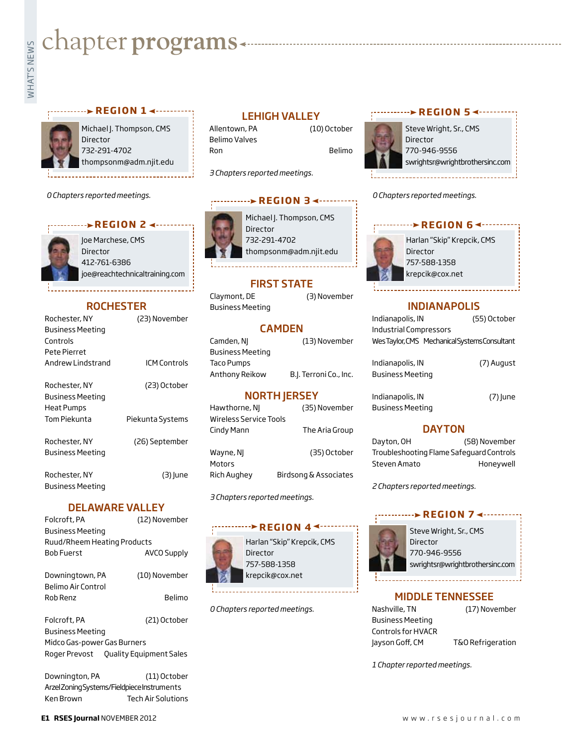# **whater programs**<br>Example:<br>Fig. 1

#### *r* **exection 1 < and 1 × and 1 × and 1 × and 1 × and 1 × and 1 × and 1 × and 1 × and 1 × and 1 × and 1 × and 1 × and 1 × and 1 × and 1 × and 1 × and 1 × and 1 × and 4 + and 4 + and 4 + and 4 + and 4 + and 4 + and 4 + and**

Michael J. Thompson, CMS Director 732-291-4702 thompsonm@adm.njit.edu

*0 Chapters reported meetings.*

#### **REGION 2 → ·········**

Joe Marchese, CMS **Director** 412-761-6386 joe@reachtechnicaltraining.com

#### **ROCHESTER**

| Rochester, NY           | (23) November       |
|-------------------------|---------------------|
| <b>Business Meeting</b> |                     |
| Controls                |                     |
| Pete Pierret            |                     |
| Andrew Lindstrand       | <b>ICM Controls</b> |
| Rochester, NY           | (23) October        |
| <b>Business Meeting</b> |                     |
| <b>Heat Pumps</b>       |                     |
| Tom Piekunta            | Piekunta Systems    |
| Rochester, NY           | (26) September      |
| <b>Business Meeting</b> |                     |
| Rochester, NY           | (3) June            |
| Business Meeting        |                     |

#### DELAWARE VALLEY

| Folcroft, PA                | (12) November |
|-----------------------------|---------------|
| Business Meeting            |               |
| Ruud/Rheem Heating Products |               |
| Bob Fuerst                  | AVCO Supply   |
| Downingtown, PA             | (10) November |
| Belimo Air Control          |               |
| Rob Renz                    | Belimo        |
| Folcroft, PA                | (21) October  |
| Business Meeting            |               |
| Midco Cas nower Cas Purpors |               |

Midco Gas-power Gas Burners Roger Prevost Quality Equipment Sales

Downington, PA (11) October Arzel Zoning Systems/Fieldpiece Instruments Ken Brown Tech Air Solutions

#### LEHIGH VALLEY

Belimo Valves Ron Belimo

Allentown, PA (10) October

*3 Chapters reported meetings.*

#### **REGION 34 ·········**

Michael J. Thompson, CMS Director 732-291-4702 thompsonm@adm.njit.edu

#### FIRST STATE

Business Meeting

#### CAMDEN

| Camden, NJ       | (13) November          |
|------------------|------------------------|
| Business Meeting |                        |
| Taco Pumps       |                        |
| Anthony Reikow   | B.J. Terroni Co., Inc. |

#### NORTH JERSEY

| Hawthorne, NJ          | (35) November         |
|------------------------|-----------------------|
| Wireless Service Tools |                       |
| Cindy Mann             | The Aria Group        |
|                        |                       |
| Wayne, NJ              | (35) October          |
| Motors                 |                       |
| Rich Aughey            | Birdsong & Associates |

*3 Chapters reported meetings.*

#### *<u><b>Pression</u>* 4<sup>4</sup>

Harlan "Skip" Krepcik, CMS Director 757-588-1358 krepcik@cox.net

*0 Chapters reported meetings.*

#### **REGION 54 --------**

Steve Wright, Sr., CMS Director 770-946-9556 swrightsr@wrightbrothersinc.com

*0 Chapters reported meetings.*

#### **REGION 6 <-------**



#### INDIANAPOLIS

| Indianapolis, IN                              | (55) October |
|-----------------------------------------------|--------------|
| <b>Industrial Compressors</b>                 |              |
| Wes Taylor, CMS Mechanical Systems Consultant |              |
|                                               |              |
| Indianapolis, IN                              | (7) August   |
| <b>Business Meeting</b>                       |              |
|                                               |              |

Indianapolis, IN (7) June Business Meeting

#### **DAYTON**

Dayton, OH (58) November Troubleshooting Flame Safeguard Controls Steven Amato Honeywell

*2 Chapters reported meetings.*

#### **REGION 74-----**



Steve Wright, Sr., CMS Director 770-946-9556 swrightsr@wrightbrothersinc.com

#### MIDDLE TENNESSEE

Nashville, TN (17) November Business Meeting Controls for HVACR Jayson Goff, CM T&O Refrigeration

*1 Chapter reported meetings.*



Claymont, DE (3) November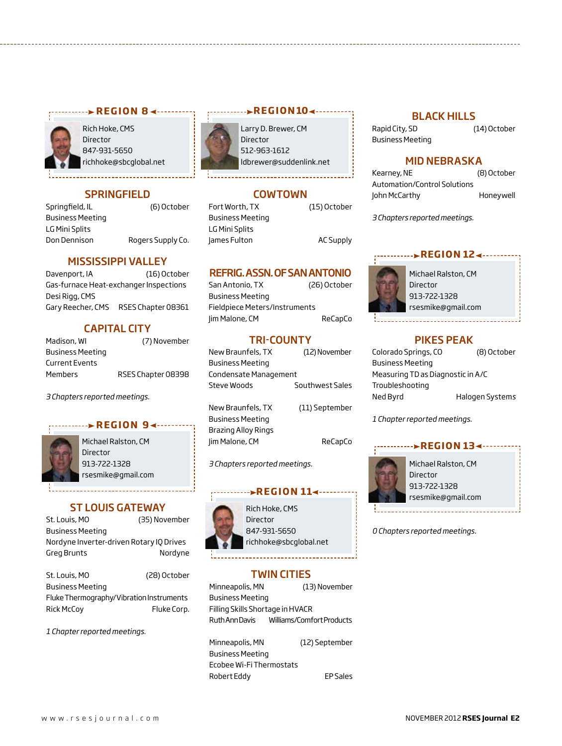

Rich Hoke, CMS Director 847-931-5650 richhoke@sbcglobal.net

#### **SPRINGFIELD**

Springfield, IL (6) October Business Meeting LG Mini Splits Don Dennison Rogers Supply Co.

#### MISSISSIPPI VALLEY

Davenport, IA (16) October Gas-furnace Heat-exchanger Inspections Desi Rigg, CMS Gary Reecher, CMS RSES Chapter 08361

#### CAPITAL CITY

| Madison, WI           | (7) November       |
|-----------------------|--------------------|
| Business Meeting      |                    |
| <b>Current Events</b> |                    |
| Members               | RSES Chapter 08398 |

*3 Chapters reported meetings.*

#### **REGION 94 ·······**



Michael Ralston, CM Director 913-722-1328 rsesmike@gmail.com

#### ST LOUIS GATEWAY

| St. Louis, MO                            | (35) November |
|------------------------------------------|---------------|
| <b>Business Meeting</b>                  |               |
| Nordyne Inverter-driven Rotary IO Drives |               |
| Greg Brunts                              | Nordyne       |
|                                          |               |

| St. Louis, MO                            | (28) October |
|------------------------------------------|--------------|
| <b>Business Meeting</b>                  |              |
| Fluke Thermography/Vibration Instruments |              |
| <b>Rick McCov</b>                        | Fluke Corp.  |

*1 Chapter reported meetings.*



### Larry D. Brewer, CM

512-963-1612 ldbrewer@suddenlink.net

#### COWTOWN

Fort Worth, TX (15) October Business Meeting LG Mini Splits James Fulton AC Supply

#### REFRIG. ASSN. OF SAN ANTONIO

| San Antonio, TX               | (26) October |
|-------------------------------|--------------|
| <b>Business Meeting</b>       |              |
| Fieldpiece Meters/Instruments |              |
| Jim Malone, CM                | ReCapCo      |

#### TRI-COUNTY

| New Braunfels, TX       | (12) November   |
|-------------------------|-----------------|
| <b>Business Meeting</b> |                 |
| Condensate Management   |                 |
| Steve Woods             | Southwest Sales |
|                         |                 |

New Braunfels, TX (11) September Business Meeting Brazing Alloy Rings Jim Malone, CM ReCapCo

*3 Chapters reported meetings.*

#### **r e g i o n 11**



Rich Hoke, CMS Director 847-931-5650 richhoke@sbcglobal.net

#### TWIN CITIES

Minneapolis, MN (13) November Business Meeting Filling Skills Shortage in HVACR Ruth Ann Davis Williams/Comfort Products

Minneapolis, MN (12) September Business Meeting Ecobee Wi-Fi Thermostats Robert Eddy EP Sales

#### BLACK HILLS

Rapid City, SD (14) October Business Meeting

#### MID NEBRASKA

| Kearney, NE                  | (8) October |
|------------------------------|-------------|
| Automation/Control Solutions |             |
| John McCarthy                | Honeywell   |

*3 Chapters reported meetings.*

#### **region 12**



Michael Ralston, CM Director 913-722-1328 rsesmike@gmail.com

#### PIKES PEAK

Colorado Springs, CO (8) October Business Meeting Measuring TD as Diagnostic in A/C Troubleshooting Ned Byrd Halogen System*s*

*1 Chapter reported meetings.*

#### Michael Ralston, CM Director 913-722-1328 rsesmike@gmail.com **region 13**

*0 Chapters reported meetings.*